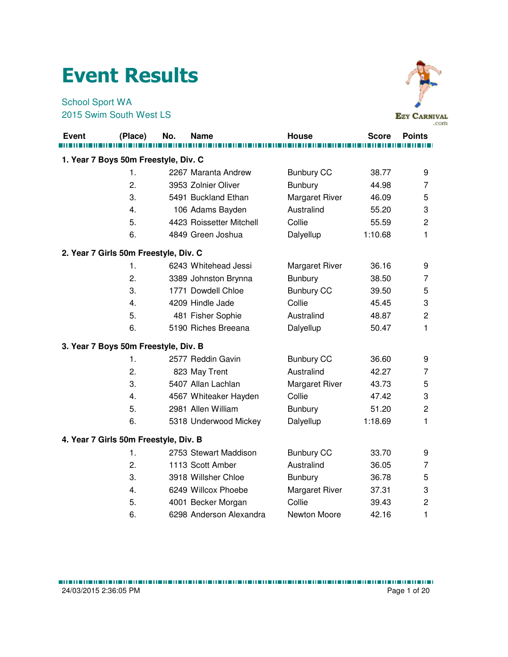## Event Results

School Sport WA 2015 Swim South West LS



|              |                                       |     |                          |                       |              | .com                    |
|--------------|---------------------------------------|-----|--------------------------|-----------------------|--------------|-------------------------|
| <b>Event</b> | (Place)                               | No. | Name                     | House                 | <b>Score</b> | <b>Points</b>           |
|              |                                       |     |                          |                       |              |                         |
|              | 1. Year 7 Boys 50m Freestyle, Div. C  |     |                          |                       |              |                         |
|              | 1.                                    |     | 2267 Maranta Andrew      | <b>Bunbury CC</b>     | 38.77        | 9                       |
|              | 2.                                    |     | 3953 Zolnier Oliver      | <b>Bunbury</b>        | 44.98        | $\overline{7}$          |
|              | 3.                                    |     | 5491 Buckland Ethan      | <b>Margaret River</b> | 46.09        | 5                       |
|              | 4.                                    |     | 106 Adams Bayden         | Australind            | 55.20        | 3                       |
|              | 5.                                    |     | 4423 Roissetter Mitchell | Collie                | 55.59        | $\overline{\mathbf{c}}$ |
|              | 6.                                    |     | 4849 Green Joshua        | Dalyellup             | 1:10.68      | 1                       |
|              | 2. Year 7 Girls 50m Freestyle, Div. C |     |                          |                       |              |                         |
|              | 1.                                    |     | 6243 Whitehead Jessi     | Margaret River        | 36.16        | 9                       |
|              | 2.                                    |     | 3389 Johnston Brynna     | <b>Bunbury</b>        | 38.50        | 7                       |
|              | 3.                                    |     | 1771 Dowdell Chloe       | <b>Bunbury CC</b>     | 39.50        | 5                       |
|              | 4.                                    |     | 4209 Hindle Jade         | Collie                | 45.45        | 3                       |
|              | 5.                                    |     | 481 Fisher Sophie        | Australind            | 48.87        | $\overline{c}$          |
|              | 6.                                    |     | 5190 Riches Breeana      | Dalyellup             | 50.47        | 1                       |
|              | 3. Year 7 Boys 50m Freestyle, Div. B  |     |                          |                       |              |                         |
|              | 1.                                    |     | 2577 Reddin Gavin        | <b>Bunbury CC</b>     | 36.60        | 9                       |
|              | 2.                                    |     | 823 May Trent            | Australind            | 42.27        | 7                       |
|              | 3.                                    |     | 5407 Allan Lachlan       | Margaret River        | 43.73        | 5                       |
|              | 4.                                    |     | 4567 Whiteaker Hayden    | Collie                | 47.42        | 3                       |
|              | 5.                                    |     | 2981 Allen William       | <b>Bunbury</b>        | 51.20        | $\overline{c}$          |
|              | 6.                                    |     | 5318 Underwood Mickey    | Dalyellup             | 1:18.69      | 1                       |
|              | 4. Year 7 Girls 50m Freestyle, Div. B |     |                          |                       |              |                         |
|              | 1.                                    |     | 2753 Stewart Maddison    | <b>Bunbury CC</b>     | 33.70        | 9                       |
|              | 2.                                    |     | 1113 Scott Amber         | Australind            | 36.05        | 7                       |
|              | 3.                                    |     | 3918 Willsher Chloe      | <b>Bunbury</b>        | 36.78        | 5                       |
|              | 4.                                    |     | 6249 Willcox Phoebe      | Margaret River        | 37.31        | 3                       |
|              | 5.                                    |     | 4001 Becker Morgan       | Collie                | 39.43        | $\overline{c}$          |
|              | 6.                                    |     | 6298 Anderson Alexandra  | Newton Moore          | 42.16        | 1                       |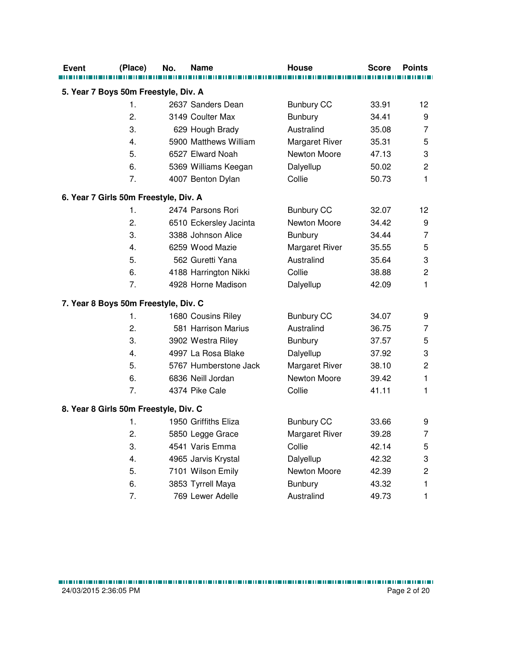| <b>Event</b> | (Place)                               | No. | <b>Name</b>            | <b>House</b>          | <b>Score</b> | <b>Points</b>             |
|--------------|---------------------------------------|-----|------------------------|-----------------------|--------------|---------------------------|
|              | 5. Year 7 Boys 50m Freestyle, Div. A  |     |                        |                       |              |                           |
|              | 1.                                    |     | 2637 Sanders Dean      | <b>Bunbury CC</b>     | 33.91        | 12                        |
|              | 2.                                    |     | 3149 Coulter Max       | Bunbury               | 34.41        | 9                         |
|              | 3.                                    |     | 629 Hough Brady        | Australind            | 35.08        | $\overline{7}$            |
|              | 4.                                    |     | 5900 Matthews William  | <b>Margaret River</b> | 35.31        | 5                         |
|              | 5.                                    |     | 6527 Elward Noah       | Newton Moore          | 47.13        | 3                         |
|              | 6.                                    |     | 5369 Williams Keegan   | Dalyellup             | 50.02        | $\overline{c}$            |
|              | 7.                                    |     | 4007 Benton Dylan      | Collie                | 50.73        | 1                         |
|              | 6. Year 7 Girls 50m Freestyle, Div. A |     |                        |                       |              |                           |
|              | 1.                                    |     | 2474 Parsons Rori      | <b>Bunbury CC</b>     | 32.07        | 12                        |
|              | 2.                                    |     | 6510 Eckersley Jacinta | Newton Moore          | 34.42        | 9                         |
|              | 3.                                    |     | 3388 Johnson Alice     | <b>Bunbury</b>        | 34.44        | $\overline{7}$            |
|              | 4.                                    |     | 6259 Wood Mazie        | <b>Margaret River</b> | 35.55        | 5                         |
|              | 5.                                    |     | 562 Guretti Yana       | Australind            | 35.64        | $\ensuremath{\mathsf{3}}$ |
|              | 6.                                    |     | 4188 Harrington Nikki  | Collie                | 38.88        | $\overline{2}$            |
|              | 7.                                    |     | 4928 Horne Madison     | Dalyellup             | 42.09        | 1                         |
|              | 7. Year 8 Boys 50m Freestyle, Div. C  |     |                        |                       |              |                           |
|              | 1.                                    |     | 1680 Cousins Riley     | <b>Bunbury CC</b>     | 34.07        | 9                         |
|              | 2.                                    |     | 581 Harrison Marius    | Australind            | 36.75        | 7                         |
|              | 3.                                    |     | 3902 Westra Riley      | <b>Bunbury</b>        | 37.57        | 5                         |
|              | 4.                                    |     | 4997 La Rosa Blake     | Dalyellup             | 37.92        | 3                         |
|              | 5.                                    |     | 5767 Humberstone Jack  | <b>Margaret River</b> | 38.10        | $\mathbf 2$               |
|              | 6.                                    |     | 6836 Neill Jordan      | Newton Moore          | 39.42        | 1                         |
|              | 7.                                    |     | 4374 Pike Cale         | Collie                | 41.11        | 1                         |
|              | 8. Year 8 Girls 50m Freestyle, Div. C |     |                        |                       |              |                           |
|              | 1.                                    |     | 1950 Griffiths Eliza   | <b>Bunbury CC</b>     | 33.66        | 9                         |
|              | 2.                                    |     | 5850 Legge Grace       | <b>Margaret River</b> | 39.28        | 7                         |
|              | 3.                                    |     | 4541 Varis Emma        | Collie                | 42.14        | 5                         |
|              | 4.                                    |     | 4965 Jarvis Krystal    | Dalyellup             | 42.32        | 3                         |
|              | 5.                                    |     | 7101 Wilson Emily      | Newton Moore          | 42.39        | $\mathbf 2$               |
|              | 6.                                    |     | 3853 Tyrrell Maya      | Bunbury               | 43.32        | 1                         |
|              | 7.                                    |     | 769 Lewer Adelle       | Australind            | 49.73        | 1                         |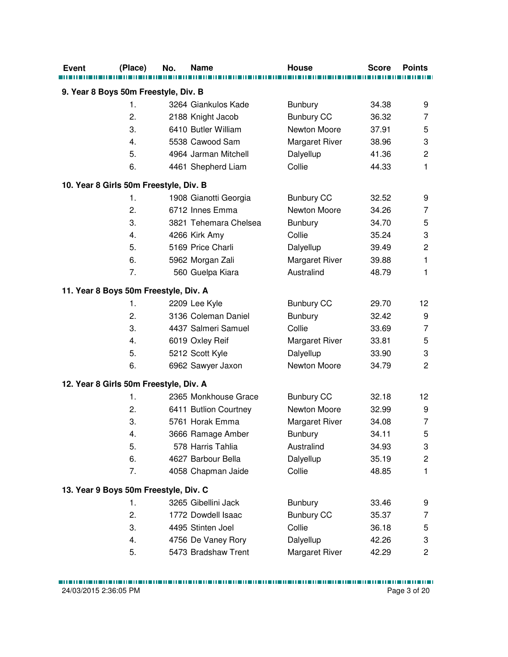| <b>Event</b> | (Place)                                | No. | <b>Name</b>           | <b>House</b>          | <b>Score</b> | <b>Points</b>           |
|--------------|----------------------------------------|-----|-----------------------|-----------------------|--------------|-------------------------|
|              | 9. Year 8 Boys 50m Freestyle, Div. B   |     |                       |                       |              |                         |
|              | 1.                                     |     | 3264 Giankulos Kade   | <b>Bunbury</b>        | 34.38        | 9                       |
|              | 2.                                     |     | 2188 Knight Jacob     | <b>Bunbury CC</b>     | 36.32        | 7                       |
|              | 3.                                     |     | 6410 Butler William   | Newton Moore          | 37.91        | 5                       |
|              | 4.                                     |     | 5538 Cawood Sam       | <b>Margaret River</b> | 38.96        | 3                       |
|              | 5.                                     |     | 4964 Jarman Mitchell  | Dalyellup             | 41.36        | $\overline{c}$          |
|              | 6.                                     |     | 4461 Shepherd Liam    | Collie                | 44.33        | $\mathbf{1}$            |
|              | 10. Year 8 Girls 50m Freestyle, Div. B |     |                       |                       |              |                         |
|              | 1.                                     |     | 1908 Gianotti Georgia | <b>Bunbury CC</b>     | 32.52        | 9                       |
|              | 2.                                     |     | 6712 Innes Emma       | Newton Moore          | 34.26        | 7                       |
|              | 3.                                     |     | 3821 Tehemara Chelsea | <b>Bunbury</b>        | 34.70        | 5                       |
|              | 4.                                     |     | 4266 Kirk Amy         | Collie                | 35.24        | 3                       |
|              | 5.                                     |     | 5169 Price Charli     | Dalyellup             | 39.49        | $\mathbf 2$             |
|              | 6.                                     |     | 5962 Morgan Zali      | <b>Margaret River</b> | 39.88        | $\mathbf{1}$            |
|              | 7.                                     |     | 560 Guelpa Kiara      | Australind            | 48.79        | $\mathbf{1}$            |
|              | 11. Year 8 Boys 50m Freestyle, Div. A  |     |                       |                       |              |                         |
|              | 1.                                     |     | 2209 Lee Kyle         | <b>Bunbury CC</b>     | 29.70        | 12                      |
|              | 2.                                     |     | 3136 Coleman Daniel   | <b>Bunbury</b>        | 32.42        | 9                       |
|              | 3.                                     |     | 4437 Salmeri Samuel   | Collie                | 33.69        | $\overline{7}$          |
|              | 4.                                     |     | 6019 Oxley Reif       | <b>Margaret River</b> | 33.81        | 5                       |
|              | 5.                                     |     | 5212 Scott Kyle       | Dalyellup             | 33.90        | 3                       |
|              | 6.                                     |     | 6962 Sawyer Jaxon     | Newton Moore          | 34.79        | $\overline{c}$          |
|              | 12. Year 8 Girls 50m Freestyle, Div. A |     |                       |                       |              |                         |
|              | 1.                                     |     | 2365 Monkhouse Grace  | <b>Bunbury CC</b>     | 32.18        | 12                      |
|              | 2.                                     |     | 6411 Butlion Courtney | Newton Moore          | 32.99        | 9                       |
|              | 3.                                     |     | 5761 Horak Emma       | <b>Margaret River</b> | 34.08        | $\overline{7}$          |
|              | 4.                                     |     | 3666 Ramage Amber     | <b>Bunbury</b>        | 34.11        | 5                       |
|              | 5.                                     |     | 578 Harris Tahlia     | Australind            | 34.93        | 3                       |
|              | 6.                                     |     | 4627 Barbour Bella    | Dalyellup             | 35.19        | $\overline{\mathbf{c}}$ |
|              | 7.                                     |     | 4058 Chapman Jaide    | Collie                | 48.85        | 1                       |
|              | 13. Year 9 Boys 50m Freestyle, Div. C  |     |                       |                       |              |                         |
|              | 1.                                     |     | 3265 Gibellini Jack   | <b>Bunbury</b>        | 33.46        | 9                       |
|              | 2.                                     |     | 1772 Dowdell Isaac    | <b>Bunbury CC</b>     | 35.37        | 7                       |
|              | 3.                                     |     | 4495 Stinten Joel     | Collie                | 36.18        | 5                       |
|              | 4.                                     |     | 4756 De Vaney Rory    | Dalyellup             | 42.26        | 3                       |
|              | 5.                                     |     | 5473 Bradshaw Trent   | Margaret River        | 42.29        | 2                       |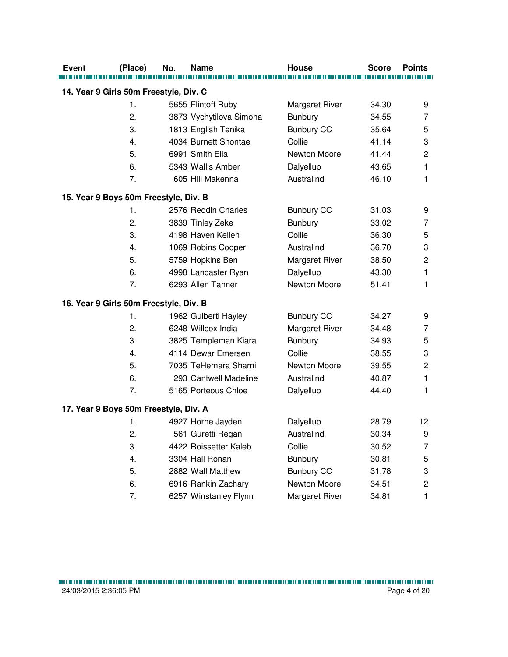| <b>Event</b>                           | (Place)       | No. | Name                    | House                 | <b>Score</b> | <b>Points</b>           |
|----------------------------------------|---------------|-----|-------------------------|-----------------------|--------------|-------------------------|
|                                        |               |     |                         |                       |              |                         |
| 14. Year 9 Girls 50m Freestyle, Div. C |               |     |                         |                       |              |                         |
|                                        | 1.            |     | 5655 Flintoff Ruby      | Margaret River        | 34.30        | 9                       |
|                                        | 2.            |     | 3873 Vychytilova Simona | <b>Bunbury</b>        | 34.55        | 7                       |
|                                        | 3.            |     | 1813 English Tenika     | <b>Bunbury CC</b>     | 35.64        | 5                       |
|                                        | 4.            |     | 4034 Burnett Shontae    | Collie                | 41.14        | 3                       |
|                                        | 5.            |     | 6991 Smith Ella         | Newton Moore          | 41.44        | $\overline{c}$          |
|                                        | 6.            |     | 5343 Wallis Amber       | Dalyellup             | 43.65        | $\mathbf{1}$            |
|                                        | 7.            |     | 605 Hill Makenna        | Australind            | 46.10        | $\mathbf{1}$            |
| 15. Year 9 Boys 50m Freestyle, Div. B  |               |     |                         |                       |              |                         |
|                                        | 1.            |     | 2576 Reddin Charles     | <b>Bunbury CC</b>     | 31.03        | 9                       |
|                                        | 2.            |     | 3839 Tinley Zeke        | <b>Bunbury</b>        | 33.02        | 7                       |
|                                        | 3.            |     | 4198 Haven Kellen       | Collie                | 36.30        | 5                       |
|                                        | 4.            |     | 1069 Robins Cooper      | Australind            | 36.70        | 3                       |
|                                        | 5.            |     | 5759 Hopkins Ben        | <b>Margaret River</b> | 38.50        | $\mathbf 2$             |
|                                        | 6.            |     | 4998 Lancaster Ryan     | Dalyellup             | 43.30        | 1                       |
|                                        | 7.            |     | 6293 Allen Tanner       | Newton Moore          | 51.41        | 1                       |
| 16. Year 9 Girls 50m Freestyle, Div. B |               |     |                         |                       |              |                         |
|                                        | $\mathbf 1$ . |     | 1962 Gulberti Hayley    | <b>Bunbury CC</b>     | 34.27        | 9                       |
|                                        | 2.            |     | 6248 Willcox India      | Margaret River        | 34.48        | 7                       |
|                                        | 3.            |     | 3825 Templeman Kiara    | Bunbury               | 34.93        | 5                       |
|                                        | 4.            |     | 4114 Dewar Emersen      | Collie                | 38.55        | 3                       |
|                                        | 5.            |     | 7035 TeHemara Sharni    | Newton Moore          | 39.55        | $\mathbf 2$             |
|                                        | 6.            |     | 293 Cantwell Madeline   | Australind            | 40.87        | 1                       |
|                                        | 7.            |     | 5165 Porteous Chloe     | Dalyellup             | 44.40        | 1                       |
| 17. Year 9 Boys 50m Freestyle, Div. A  |               |     |                         |                       |              |                         |
|                                        | 1.            |     | 4927 Horne Jayden       | Dalyellup             | 28.79        | 12                      |
|                                        | 2.            |     | 561 Guretti Regan       | Australind            | 30.34        | 9                       |
|                                        | 3.            |     | 4422 Roissetter Kaleb   | Collie                | 30.52        | 7                       |
|                                        | 4.            |     | 3304 Hall Ronan         | <b>Bunbury</b>        | 30.81        | 5                       |
|                                        | 5.            |     | 2882 Wall Matthew       | <b>Bunbury CC</b>     | 31.78        | 3                       |
|                                        | 6.            |     | 6916 Rankin Zachary     | Newton Moore          | 34.51        | $\overline{\mathbf{c}}$ |
|                                        | 7.            |     | 6257 Winstanley Flynn   | Margaret River        | 34.81        | 1                       |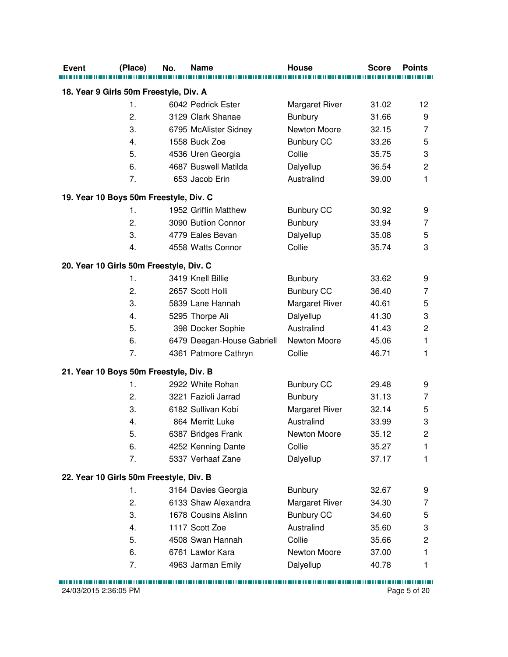| <b>Event</b> | (Place)                                                 | No. | <b>Name</b>                             | <b>House</b>                   | <b>Score</b>   | <b>Points</b>  |
|--------------|---------------------------------------------------------|-----|-----------------------------------------|--------------------------------|----------------|----------------|
|              |                                                         |     |                                         |                                |                |                |
|              | 18. Year 9 Girls 50m Freestyle, Div. A<br>$\mathbf 1$ . |     |                                         |                                |                |                |
|              | 2.                                                      |     | 6042 Pedrick Ester<br>3129 Clark Shanae | <b>Margaret River</b>          | 31.02<br>31.66 | 12<br>9        |
|              | 3.                                                      |     |                                         | <b>Bunbury</b><br>Newton Moore |                | $\overline{7}$ |
|              | 4.                                                      |     | 6795 McAlister Sidney<br>1558 Buck Zoe  |                                | 32.15<br>33.26 | 5              |
|              | 5.                                                      |     | 4536 Uren Georgia                       | <b>Bunbury CC</b><br>Collie    | 35.75          | 3              |
|              | 6.                                                      |     | 4687 Buswell Matilda                    |                                | 36.54          | $\overline{c}$ |
|              | 7.                                                      |     | 653 Jacob Erin                          | Dalyellup<br>Australind        | 39.00          | 1              |
|              |                                                         |     |                                         |                                |                |                |
|              | 19. Year 10 Boys 50m Freestyle, Div. C                  |     |                                         |                                |                |                |
|              | 1.                                                      |     | 1952 Griffin Matthew                    | <b>Bunbury CC</b>              | 30.92          | 9              |
|              | 2.                                                      |     | 3090 Butlion Connor                     | <b>Bunbury</b>                 | 33.94          | 7              |
|              | 3.                                                      |     | 4779 Eales Bevan                        | Dalyellup                      | 35.08          | 5              |
|              | 4.                                                      |     | 4558 Watts Connor                       | Collie                         | 35.74          | 3              |
|              | 20. Year 10 Girls 50m Freestyle, Div. C                 |     |                                         |                                |                |                |
|              | $\mathbf 1$ .                                           |     | 3419 Knell Billie                       | Bunbury                        | 33.62          | 9              |
|              | 2.                                                      |     | 2657 Scott Holli                        | <b>Bunbury CC</b>              | 36.40          | 7              |
|              | 3.                                                      |     | 5839 Lane Hannah                        | <b>Margaret River</b>          | 40.61          | 5              |
|              | 4.                                                      |     | 5295 Thorpe Ali                         | Dalyellup                      | 41.30          | 3              |
|              | 5.                                                      |     | 398 Docker Sophie                       | Australind                     | 41.43          | $\overline{c}$ |
|              | 6.                                                      |     | 6479 Deegan-House Gabriell              | Newton Moore                   | 45.06          | 1              |
|              | 7.                                                      |     | 4361 Patmore Cathryn                    | Collie                         | 46.71          | 1              |
|              | 21. Year 10 Boys 50m Freestyle, Div. B                  |     |                                         |                                |                |                |
|              | 1.                                                      |     | 2922 White Rohan                        | <b>Bunbury CC</b>              | 29.48          | 9              |
|              | 2.                                                      |     | 3221 Fazioli Jarrad                     | <b>Bunbury</b>                 | 31.13          | 7              |
|              | 3.                                                      |     | 6182 Sullivan Kobi                      | <b>Margaret River</b>          | 32.14          | 5              |
|              | 4.                                                      |     | 864 Merritt Luke                        | Australind                     | 33.99          | 3              |
|              | 5.                                                      |     | 6387 Bridges Frank                      | Newton Moore                   | 35.12          | $\overline{c}$ |
|              | 6.                                                      |     | 4252 Kenning Dante                      | Collie                         | 35.27          | 1              |
|              | 7.                                                      |     | 5337 Verhaaf Zane                       | Dalyellup                      | 37.17          | 1              |
|              | 22. Year 10 Girls 50m Freestyle, Div. B                 |     |                                         |                                |                |                |
|              | 1.                                                      |     | 3164 Davies Georgia                     | <b>Bunbury</b>                 | 32.67          | 9              |
|              | 2.                                                      |     | 6133 Shaw Alexandra                     | <b>Margaret River</b>          | 34.30          | 7              |
|              | 3.                                                      |     | 1678 Cousins Aislinn                    | <b>Bunbury CC</b>              | 34.60          | 5              |
|              | 4.                                                      |     | 1117 Scott Zoe                          | Australind                     | 35.60          | 3              |
|              | 5.                                                      |     | 4508 Swan Hannah                        | Collie                         | 35.66          | $\overline{c}$ |
|              | 6.                                                      |     | 6761 Lawlor Kara                        | Newton Moore                   | 37.00          | 1              |
|              | 7.                                                      |     | 4963 Jarman Emily                       | Dalyellup                      | 40.78          | 1              |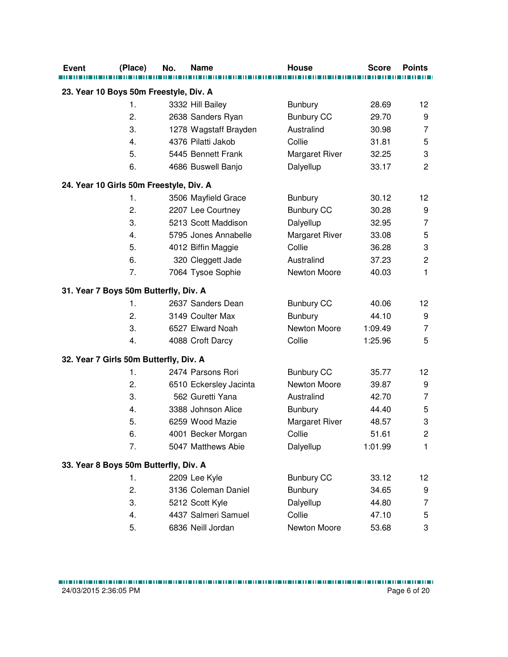| <b>Event</b> | (Place)                                 | No. | <b>Name</b>            | <b>House</b>          | <b>Score</b> | <b>Points</b>  |
|--------------|-----------------------------------------|-----|------------------------|-----------------------|--------------|----------------|
|              | 23. Year 10 Boys 50m Freestyle, Div. A  |     |                        |                       |              |                |
|              | 1.                                      |     | 3332 Hill Bailey       | <b>Bunbury</b>        | 28.69        | 12             |
|              | 2.                                      |     | 2638 Sanders Ryan      | <b>Bunbury CC</b>     | 29.70        | 9              |
|              | 3.                                      |     | 1278 Wagstaff Brayden  | Australind            | 30.98        | $\overline{7}$ |
|              | 4.                                      |     | 4376 Pilatti Jakob     | Collie                | 31.81        | 5              |
|              | 5.                                      |     | 5445 Bennett Frank     | <b>Margaret River</b> | 32.25        | 3              |
|              | 6.                                      |     | 4686 Buswell Banjo     | Dalyellup             | 33.17        | $\overline{c}$ |
|              | 24. Year 10 Girls 50m Freestyle, Div. A |     |                        |                       |              |                |
|              | 1.                                      |     | 3506 Mayfield Grace    | <b>Bunbury</b>        | 30.12        | 12             |
|              | 2.                                      |     | 2207 Lee Courtney      | <b>Bunbury CC</b>     | 30.28        | 9              |
|              | 3.                                      |     | 5213 Scott Maddison    | Dalyellup             | 32.95        | 7              |
|              | 4.                                      |     | 5795 Jones Annabelle   | <b>Margaret River</b> | 33.08        | 5              |
|              | 5.                                      |     | 4012 Biffin Maggie     | Collie                | 36.28        | 3              |
|              | 6.                                      |     | 320 Cleggett Jade      | Australind            | 37.23        | $\mathbf 2$    |
|              | 7.                                      |     | 7064 Tysoe Sophie      | Newton Moore          | 40.03        | 1              |
|              | 31. Year 7 Boys 50m Butterfly, Div. A   |     |                        |                       |              |                |
|              | 1.                                      |     | 2637 Sanders Dean      | <b>Bunbury CC</b>     | 40.06        | 12             |
|              | 2.                                      |     | 3149 Coulter Max       | <b>Bunbury</b>        | 44.10        | 9              |
|              | 3.                                      |     | 6527 Elward Noah       | Newton Moore          | 1:09.49      | $\overline{7}$ |
|              | 4.                                      |     | 4088 Croft Darcy       | Collie                | 1:25.96      | 5              |
|              | 32. Year 7 Girls 50m Butterfly, Div. A  |     |                        |                       |              |                |
|              | 1.                                      |     | 2474 Parsons Rori      | <b>Bunbury CC</b>     | 35.77        | 12             |
|              | 2.                                      |     | 6510 Eckersley Jacinta | Newton Moore          | 39.87        | 9              |
|              | 3.                                      |     | 562 Guretti Yana       | Australind            | 42.70        | $\overline{7}$ |
|              | 4.                                      |     | 3388 Johnson Alice     | Bunbury               | 44.40        | 5              |
|              | 5.                                      |     | 6259 Wood Mazie        | <b>Margaret River</b> | 48.57        | 3              |
|              | 6.                                      |     | 4001 Becker Morgan     | Collie                | 51.61        | $\overline{2}$ |
|              | 7.                                      |     | 5047 Matthews Abie     | Dalyellup             | 1:01.99      | 1              |
|              | 33. Year 8 Boys 50m Butterfly, Div. A   |     |                        |                       |              |                |
|              | 1.                                      |     | 2209 Lee Kyle          | <b>Bunbury CC</b>     | 33.12        | 12             |
|              | 2.                                      |     | 3136 Coleman Daniel    | Bunbury               | 34.65        | 9              |
|              | 3.                                      |     | 5212 Scott Kyle        | Dalyellup             | 44.80        | 7              |
|              | 4.                                      |     | 4437 Salmeri Samuel    | Collie                | 47.10        | 5              |
|              | 5.                                      |     | 6836 Neill Jordan      | Newton Moore          | 53.68        | 3              |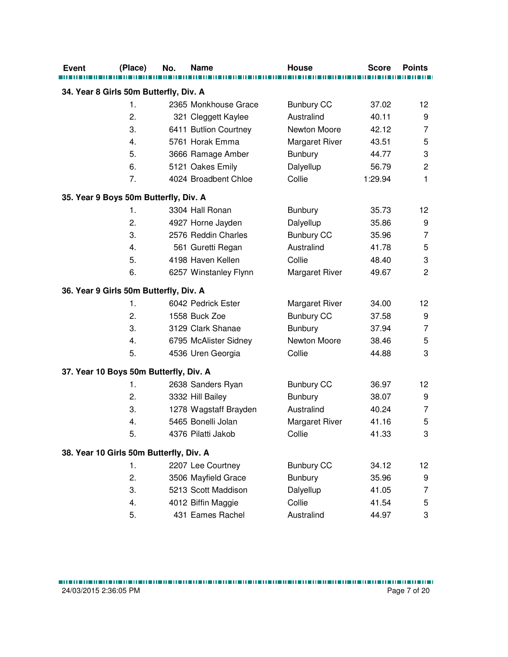| <b>Event</b>                            | (Place)        | No. | <b>Name</b>           | <b>House</b>          | <b>Score</b> | <b>Points</b>             |
|-----------------------------------------|----------------|-----|-----------------------|-----------------------|--------------|---------------------------|
|                                         |                |     |                       |                       |              |                           |
| 34. Year 8 Girls 50m Butterfly, Div. A  |                |     |                       |                       |              |                           |
|                                         | $\mathbf{1}$ . |     | 2365 Monkhouse Grace  | <b>Bunbury CC</b>     | 37.02        | 12                        |
|                                         | 2.             |     | 321 Cleggett Kaylee   | Australind            | 40.11        | 9                         |
|                                         | 3.             |     | 6411 Butlion Courtney | Newton Moore          | 42.12        | $\overline{7}$            |
|                                         | 4.             |     | 5761 Horak Emma       | <b>Margaret River</b> | 43.51        | 5                         |
|                                         | 5.             |     | 3666 Ramage Amber     | <b>Bunbury</b>        | 44.77        | $\ensuremath{\mathsf{3}}$ |
|                                         | 6.             |     | 5121 Oakes Emily      | Dalyellup             | 56.79        | $\sqrt{2}$                |
|                                         | 7.             |     | 4024 Broadbent Chloe  | Collie                | 1:29.94      | 1                         |
| 35. Year 9 Boys 50m Butterfly, Div. A   |                |     |                       |                       |              |                           |
|                                         | $\mathbf{1}$ . |     | 3304 Hall Ronan       | <b>Bunbury</b>        | 35.73        | 12                        |
|                                         | 2.             |     | 4927 Horne Jayden     | Dalyellup             | 35.86        | 9                         |
|                                         | 3.             |     | 2576 Reddin Charles   | <b>Bunbury CC</b>     | 35.96        | 7                         |
|                                         | 4.             |     | 561 Guretti Regan     | Australind            | 41.78        | 5                         |
|                                         | 5.             |     | 4198 Haven Kellen     | Collie                | 48.40        | 3                         |
|                                         | 6.             |     | 6257 Winstanley Flynn | <b>Margaret River</b> | 49.67        | $\overline{2}$            |
| 36. Year 9 Girls 50m Butterfly, Div. A  |                |     |                       |                       |              |                           |
|                                         | $\mathbf{1}$ . |     | 6042 Pedrick Ester    | <b>Margaret River</b> | 34.00        | 12                        |
|                                         | 2.             |     | 1558 Buck Zoe         | <b>Bunbury CC</b>     | 37.58        | 9                         |
|                                         | 3.             |     | 3129 Clark Shanae     | <b>Bunbury</b>        | 37.94        | $\overline{7}$            |
|                                         | 4.             |     | 6795 McAlister Sidney | Newton Moore          | 38.46        | 5                         |
|                                         | 5.             |     | 4536 Uren Georgia     | Collie                | 44.88        | 3                         |
| 37. Year 10 Boys 50m Butterfly, Div. A  |                |     |                       |                       |              |                           |
|                                         | 1.             |     | 2638 Sanders Ryan     | <b>Bunbury CC</b>     | 36.97        | 12                        |
|                                         | 2.             |     | 3332 Hill Bailey      | <b>Bunbury</b>        | 38.07        | 9                         |
|                                         | 3.             |     | 1278 Wagstaff Brayden | Australind            | 40.24        | 7                         |
|                                         | 4.             |     | 5465 Bonelli Jolan    | <b>Margaret River</b> | 41.16        | 5                         |
|                                         | 5.             |     | 4376 Pilatti Jakob    | Collie                | 41.33        | 3                         |
| 38. Year 10 Girls 50m Butterfly, Div. A |                |     |                       |                       |              |                           |
|                                         | 1.             |     | 2207 Lee Courtney     | <b>Bunbury CC</b>     | 34.12        | 12                        |
|                                         | 2.             |     | 3506 Mayfield Grace   | <b>Bunbury</b>        | 35.96        | 9                         |
|                                         | 3.             |     | 5213 Scott Maddison   | Dalyellup             | 41.05        | 7                         |
|                                         | 4.             |     | 4012 Biffin Maggie    | Collie                | 41.54        | 5                         |
|                                         | 5.             |     | 431 Eames Rachel      | Australind            | 44.97        | 3                         |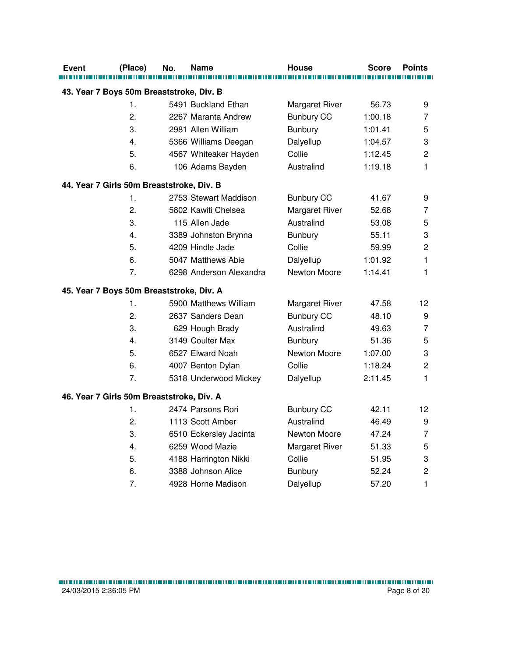| <b>Event</b> | (Place)                                   | No. | Name                    | <b>House</b>          | <b>Score</b> | <b>Points</b>  |
|--------------|-------------------------------------------|-----|-------------------------|-----------------------|--------------|----------------|
|              |                                           |     |                         |                       |              |                |
|              | 43. Year 7 Boys 50m Breaststroke, Div. B  |     |                         |                       |              |                |
|              | 1.                                        |     | 5491 Buckland Ethan     | Margaret River        | 56.73        | 9              |
|              | 2.                                        |     | 2267 Maranta Andrew     | <b>Bunbury CC</b>     | 1:00.18      | $\overline{7}$ |
|              | 3.                                        |     | 2981 Allen William      | Bunbury               | 1:01.41      | 5              |
|              | 4.                                        |     | 5366 Williams Deegan    | Dalyellup             | 1:04.57      | 3              |
|              | 5.                                        |     | 4567 Whiteaker Hayden   | Collie                | 1:12.45      | $\overline{c}$ |
|              | 6.                                        |     | 106 Adams Bayden        | Australind            | 1:19.18      | 1              |
|              | 44. Year 7 Girls 50m Breaststroke, Div. B |     |                         |                       |              |                |
|              | 1.                                        |     | 2753 Stewart Maddison   | <b>Bunbury CC</b>     | 41.67        | 9              |
|              | 2.                                        |     | 5802 Kawiti Chelsea     | Margaret River        | 52.68        | 7              |
|              | 3.                                        |     | 115 Allen Jade          | Australind            | 53.08        | 5              |
|              | 4.                                        |     | 3389 Johnston Brynna    | <b>Bunbury</b>        | 55.11        | 3              |
|              | 5.                                        |     | 4209 Hindle Jade        | Collie                | 59.99        | $\overline{c}$ |
|              | 6.                                        |     | 5047 Matthews Abie      | Dalyellup             | 1:01.92      | $\mathbf{1}$   |
|              | 7.                                        |     | 6298 Anderson Alexandra | Newton Moore          | 1:14.41      | 1              |
|              | 45. Year 7 Boys 50m Breaststroke, Div. A  |     |                         |                       |              |                |
|              | 1.                                        |     | 5900 Matthews William   | <b>Margaret River</b> | 47.58        | 12             |
|              | 2.                                        |     | 2637 Sanders Dean       | <b>Bunbury CC</b>     | 48.10        | 9              |
|              | 3.                                        |     | 629 Hough Brady         | Australind            | 49.63        | $\overline{7}$ |
|              | 4.                                        |     | 3149 Coulter Max        | Bunbury               | 51.36        | 5              |
|              | 5.                                        |     | 6527 Elward Noah        | Newton Moore          | 1:07.00      | 3              |
|              | 6.                                        |     | 4007 Benton Dylan       | Collie                | 1:18.24      | $\overline{c}$ |
|              | 7.                                        |     | 5318 Underwood Mickey   | Dalyellup             | 2:11.45      | 1              |
|              | 46. Year 7 Girls 50m Breaststroke, Div. A |     |                         |                       |              |                |
|              | 1.                                        |     | 2474 Parsons Rori       | <b>Bunbury CC</b>     | 42.11        | 12             |
|              | 2.                                        |     | 1113 Scott Amber        | Australind            | 46.49        | 9              |
|              | 3.                                        |     | 6510 Eckersley Jacinta  | Newton Moore          | 47.24        | $\overline{7}$ |
|              | 4.                                        |     | 6259 Wood Mazie         | Margaret River        | 51.33        | 5              |
|              | 5.                                        |     | 4188 Harrington Nikki   | Collie                | 51.95        | 3              |
|              | 6.                                        |     | 3388 Johnson Alice      | <b>Bunbury</b>        | 52.24        | $\mathbf 2$    |
|              | 7.                                        |     | 4928 Horne Madison      | Dalyellup             | 57.20        | $\mathbf{1}$   |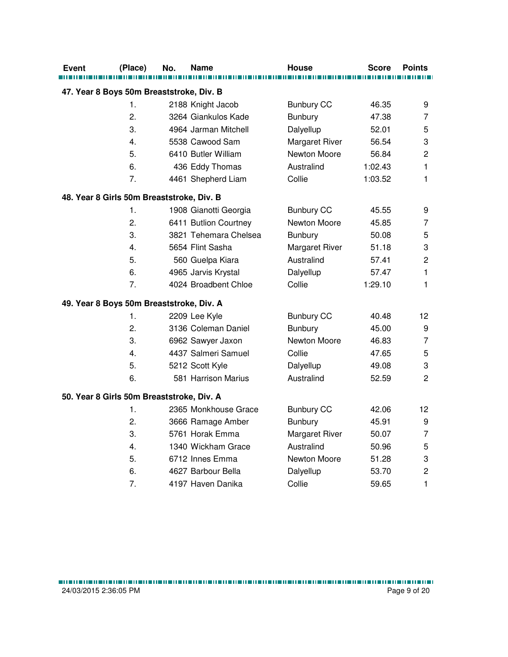| Event                                    | (Place)                                   | No. | Name                  | House             | <b>Score</b> | <b>Points</b>             |
|------------------------------------------|-------------------------------------------|-----|-----------------------|-------------------|--------------|---------------------------|
|                                          |                                           |     |                       |                   |              |                           |
| 47. Year 8 Boys 50m Breaststroke, Div. B |                                           |     |                       |                   |              |                           |
|                                          | 1.                                        |     | 2188 Knight Jacob     | <b>Bunbury CC</b> | 46.35        | 9                         |
|                                          | 2.                                        |     | 3264 Giankulos Kade   | Bunbury           | 47.38        | 7                         |
|                                          | 3.                                        |     | 4964 Jarman Mitchell  | Dalyellup         | 52.01        | 5                         |
|                                          | 4.                                        |     | 5538 Cawood Sam       | Margaret River    | 56.54        | 3                         |
|                                          | 5.                                        |     | 6410 Butler William   | Newton Moore      | 56.84        | $\overline{c}$            |
|                                          | 6.                                        |     | 436 Eddy Thomas       | Australind        | 1:02.43      | $\mathbf{1}$              |
|                                          | 7.                                        |     | 4461 Shepherd Liam    | Collie            | 1:03.52      | 1                         |
|                                          | 48. Year 8 Girls 50m Breaststroke, Div. B |     |                       |                   |              |                           |
|                                          | 1.                                        |     | 1908 Gianotti Georgia | <b>Bunbury CC</b> | 45.55        | 9                         |
|                                          | 2.                                        |     | 6411 Butlion Courtney | Newton Moore      | 45.85        | 7                         |
|                                          | 3.                                        |     | 3821 Tehemara Chelsea | <b>Bunbury</b>    | 50.08        | 5                         |
|                                          | 4.                                        |     | 5654 Flint Sasha      | Margaret River    | 51.18        | 3                         |
|                                          | 5.                                        |     | 560 Guelpa Kiara      | Australind        | 57.41        | $\overline{c}$            |
|                                          | 6.                                        |     | 4965 Jarvis Krystal   | Dalyellup         | 57.47        | $\mathbf{1}$              |
|                                          | 7.                                        |     | 4024 Broadbent Chloe  | Collie            | 1:29.10      | 1                         |
|                                          | 49. Year 8 Boys 50m Breaststroke, Div. A  |     |                       |                   |              |                           |
|                                          | 1.                                        |     | 2209 Lee Kyle         | <b>Bunbury CC</b> | 40.48        | 12                        |
|                                          | 2.                                        |     | 3136 Coleman Daniel   | Bunbury           | 45.00        | 9                         |
|                                          | 3.                                        |     | 6962 Sawyer Jaxon     | Newton Moore      | 46.83        | $\overline{7}$            |
|                                          | 4.                                        |     | 4437 Salmeri Samuel   | Collie            | 47.65        | 5                         |
|                                          | 5.                                        |     | 5212 Scott Kyle       | Dalyellup         | 49.08        | 3                         |
|                                          | 6.                                        |     | 581 Harrison Marius   | Australind        | 52.59        | $\overline{2}$            |
|                                          | 50. Year 8 Girls 50m Breaststroke, Div. A |     |                       |                   |              |                           |
|                                          | 1.                                        |     | 2365 Monkhouse Grace  | <b>Bunbury CC</b> | 42.06        | 12                        |
|                                          | 2.                                        |     | 3666 Ramage Amber     | Bunbury           | 45.91        | 9                         |
|                                          | 3.                                        |     | 5761 Horak Emma       | Margaret River    | 50.07        | $\overline{7}$            |
|                                          | 4.                                        |     | 1340 Wickham Grace    | Australind        | 50.96        | 5                         |
|                                          | 5.                                        |     | 6712 Innes Emma       | Newton Moore      | 51.28        | $\ensuremath{\mathsf{3}}$ |
|                                          | 6.                                        |     | 4627 Barbour Bella    | Dalyellup         | 53.70        | $\mathbf 2$               |
|                                          | 7.                                        |     | 4197 Haven Danika     | Collie            | 59.65        | 1                         |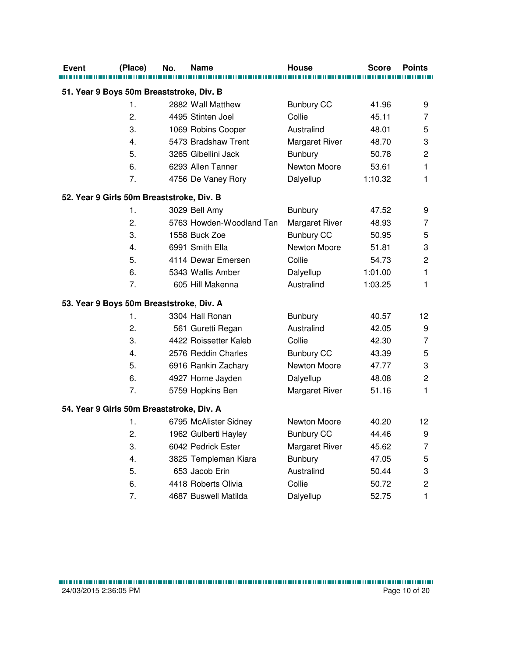| <b>Event</b>                              | (Place)        | No. | Name                     | <b>House</b>          | <b>Score</b> | <b>Points</b>           |
|-------------------------------------------|----------------|-----|--------------------------|-----------------------|--------------|-------------------------|
|                                           |                |     |                          |                       |              |                         |
| 51. Year 9 Boys 50m Breaststroke, Div. B  |                |     |                          |                       |              |                         |
|                                           | $\mathbf{1}$ . |     | 2882 Wall Matthew        | <b>Bunbury CC</b>     | 41.96        | 9                       |
|                                           | 2.             |     | 4495 Stinten Joel        | Collie                | 45.11        | 7                       |
|                                           | 3.             |     | 1069 Robins Cooper       | Australind            | 48.01        | 5                       |
|                                           | 4.             |     | 5473 Bradshaw Trent      | Margaret River        | 48.70        | 3                       |
|                                           | 5.             |     | 3265 Gibellini Jack      | <b>Bunbury</b>        | 50.78        | $\mathbf 2$             |
|                                           | 6.             |     | 6293 Allen Tanner        | Newton Moore          | 53.61        | $\mathbf{1}$            |
|                                           | 7.             |     | 4756 De Vaney Rory       | Dalyellup             | 1:10.32      | 1                       |
| 52. Year 9 Girls 50m Breaststroke, Div. B |                |     |                          |                       |              |                         |
|                                           | 1.             |     | 3029 Bell Amy            | <b>Bunbury</b>        | 47.52        | 9                       |
|                                           | 2.             |     | 5763 Howden-Woodland Tan | Margaret River        | 48.93        | 7                       |
|                                           | 3.             |     | 1558 Buck Zoe            | <b>Bunbury CC</b>     | 50.95        | 5                       |
|                                           | 4.             |     | 6991 Smith Ella          | Newton Moore          | 51.81        | 3                       |
|                                           | 5.             |     | 4114 Dewar Emersen       | Collie                | 54.73        | $\overline{c}$          |
|                                           | 6.             |     | 5343 Wallis Amber        | Dalyellup             | 1:01.00      | 1                       |
|                                           | 7.             |     | 605 Hill Makenna         | Australind            | 1:03.25      | 1                       |
| 53. Year 9 Boys 50m Breaststroke, Div. A  |                |     |                          |                       |              |                         |
|                                           | 1.             |     | 3304 Hall Ronan          | <b>Bunbury</b>        | 40.57        | 12                      |
|                                           | 2.             |     | 561 Guretti Regan        | Australind            | 42.05        | 9                       |
|                                           | 3.             |     | 4422 Roissetter Kaleb    | Collie                | 42.30        | $\overline{7}$          |
|                                           | 4.             |     | 2576 Reddin Charles      | <b>Bunbury CC</b>     | 43.39        | 5                       |
|                                           | 5.             |     | 6916 Rankin Zachary      | Newton Moore          | 47.77        | 3                       |
|                                           | 6.             |     | 4927 Horne Jayden        | Dalyellup             | 48.08        | $\mathbf 2$             |
|                                           | 7.             |     | 5759 Hopkins Ben         | Margaret River        | 51.16        | 1                       |
| 54. Year 9 Girls 50m Breaststroke, Div. A |                |     |                          |                       |              |                         |
|                                           | 1.             |     | 6795 McAlister Sidney    | Newton Moore          | 40.20        | 12                      |
|                                           | 2.             |     | 1962 Gulberti Hayley     | <b>Bunbury CC</b>     | 44.46        | 9                       |
|                                           | 3.             |     | 6042 Pedrick Ester       | <b>Margaret River</b> | 45.62        | 7                       |
|                                           | 4.             |     | 3825 Templeman Kiara     | <b>Bunbury</b>        | 47.05        | 5                       |
|                                           | 5.             |     | 653 Jacob Erin           | Australind            | 50.44        | 3                       |
|                                           | 6.             |     | 4418 Roberts Olivia      | Collie                | 50.72        | $\overline{\mathbf{c}}$ |
|                                           | 7.             |     | 4687 Buswell Matilda     | Dalyellup             | 52.75        | 1                       |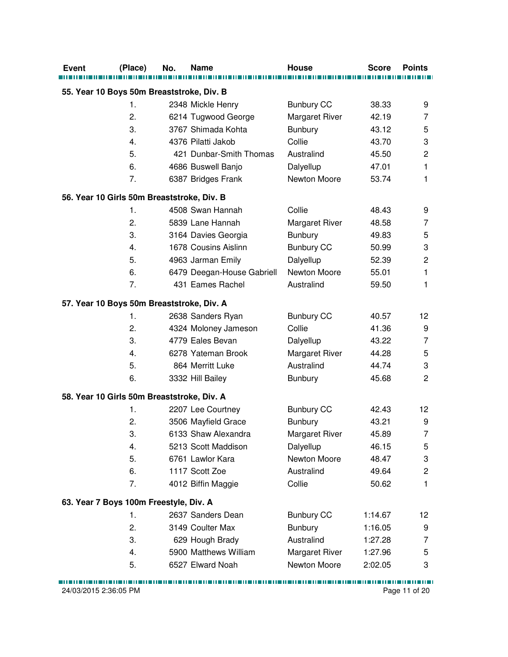| <b>Event</b>                              | (Place)                                    | No. | <b>Name</b>                | <b>House</b>          | <b>Score</b> | <b>Points</b>           |  |  |  |
|-------------------------------------------|--------------------------------------------|-----|----------------------------|-----------------------|--------------|-------------------------|--|--|--|
| 55. Year 10 Boys 50m Breaststroke, Div. B |                                            |     |                            |                       |              |                         |  |  |  |
|                                           | 1.                                         |     | 2348 Mickle Henry          | <b>Bunbury CC</b>     | 38.33        | 9                       |  |  |  |
|                                           | 2.                                         |     | 6214 Tugwood George        | Margaret River        | 42.19        | 7                       |  |  |  |
|                                           | 3.                                         |     | 3767 Shimada Kohta         | <b>Bunbury</b>        | 43.12        | 5                       |  |  |  |
|                                           | 4.                                         |     | 4376 Pilatti Jakob         | Collie                | 43.70        | 3                       |  |  |  |
|                                           | 5.                                         |     | 421 Dunbar-Smith Thomas    | Australind            | 45.50        | $\overline{c}$          |  |  |  |
|                                           | 6.                                         |     | 4686 Buswell Banjo         | Dalyellup             | 47.01        | 1                       |  |  |  |
|                                           | 7.                                         |     | 6387 Bridges Frank         | Newton Moore          | 53.74        | 1                       |  |  |  |
|                                           | 56. Year 10 Girls 50m Breaststroke, Div. B |     |                            |                       |              |                         |  |  |  |
|                                           | 1.                                         |     | 4508 Swan Hannah           | Collie                | 48.43        | 9                       |  |  |  |
|                                           | 2.                                         |     | 5839 Lane Hannah           | Margaret River        | 48.58        | 7                       |  |  |  |
|                                           | 3.                                         |     | 3164 Davies Georgia        | <b>Bunbury</b>        | 49.83        | 5                       |  |  |  |
|                                           | 4.                                         |     | 1678 Cousins Aislinn       | <b>Bunbury CC</b>     | 50.99        | 3                       |  |  |  |
|                                           | 5.                                         |     | 4963 Jarman Emily          | Dalyellup             | 52.39        | $\overline{c}$          |  |  |  |
|                                           | 6.                                         |     | 6479 Deegan-House Gabriell | Newton Moore          | 55.01        | 1                       |  |  |  |
|                                           | 7.                                         |     | 431 Eames Rachel           | Australind            | 59.50        | 1                       |  |  |  |
|                                           | 57. Year 10 Boys 50m Breaststroke, Div. A  |     |                            |                       |              |                         |  |  |  |
|                                           | 1.                                         |     | 2638 Sanders Ryan          | <b>Bunbury CC</b>     | 40.57        | 12                      |  |  |  |
|                                           | 2.                                         |     | 4324 Moloney Jameson       | Collie                | 41.36        | 9                       |  |  |  |
|                                           | 3.                                         |     | 4779 Eales Bevan           | Dalyellup             | 43.22        | 7                       |  |  |  |
|                                           | 4.                                         |     | 6278 Yateman Brook         | Margaret River        | 44.28        | 5                       |  |  |  |
|                                           | 5.                                         |     | 864 Merritt Luke           | Australind            | 44.74        | 3                       |  |  |  |
|                                           | 6.                                         |     | 3332 Hill Bailey           | <b>Bunbury</b>        | 45.68        | $\overline{c}$          |  |  |  |
|                                           | 58. Year 10 Girls 50m Breaststroke, Div. A |     |                            |                       |              |                         |  |  |  |
|                                           | 1.                                         |     | 2207 Lee Courtney          | <b>Bunbury CC</b>     | 42.43        | 12                      |  |  |  |
|                                           | 2.                                         |     | 3506 Mayfield Grace        | <b>Bunbury</b>        | 43.21        | 9                       |  |  |  |
|                                           | 3.                                         |     | 6133 Shaw Alexandra        | <b>Margaret River</b> | 45.89        | 7                       |  |  |  |
|                                           | 4.                                         |     | 5213 Scott Maddison        | Dalyellup             | 46.15        | 5                       |  |  |  |
|                                           | 5.                                         |     | 6761 Lawlor Kara           | Newton Moore          | 48.47        | 3                       |  |  |  |
|                                           | 6.                                         |     | 1117 Scott Zoe             | Australind            | 49.64        | $\overline{\mathbf{c}}$ |  |  |  |
|                                           | 7.                                         |     | 4012 Biffin Maggie         | Collie                | 50.62        | 1                       |  |  |  |
|                                           | 63. Year 7 Boys 100m Freestyle, Div. A     |     |                            |                       |              |                         |  |  |  |
|                                           | 1.                                         |     | 2637 Sanders Dean          | <b>Bunbury CC</b>     | 1:14.67      | 12                      |  |  |  |
|                                           | 2.                                         |     | 3149 Coulter Max           | <b>Bunbury</b>        | 1:16.05      | 9                       |  |  |  |
|                                           | 3.                                         |     | 629 Hough Brady            | Australind            | 1:27.28      | 7                       |  |  |  |
|                                           | 4.                                         |     | 5900 Matthews William      | Margaret River        | 1:27.96      | 5                       |  |  |  |
|                                           | 5.                                         |     | 6527 Elward Noah           | Newton Moore          | 2:02.05      | 3                       |  |  |  |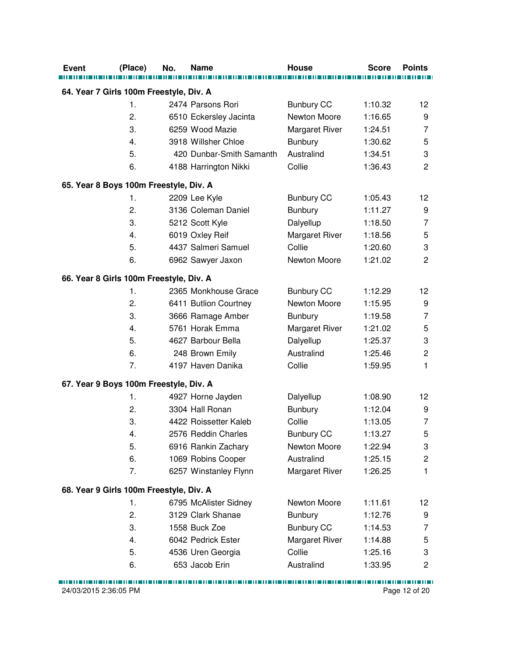| <b>Event</b> | (Place)                                       | No. | <b>Name</b>                               | <b>House</b>                      | <b>Score</b>       | <b>Points</b>           |
|--------------|-----------------------------------------------|-----|-------------------------------------------|-----------------------------------|--------------------|-------------------------|
|              | 64. Year 7 Girls 100m Freestyle, Div. A       |     |                                           |                                   |                    |                         |
|              | $\mathbf 1$ .                                 |     | 2474 Parsons Rori                         |                                   |                    |                         |
|              | 2.                                            |     |                                           | <b>Bunbury CC</b><br>Newton Moore | 1:10.32<br>1:16.65 | 12<br>9                 |
|              | 3.                                            |     | 6510 Eckersley Jacinta<br>6259 Wood Mazie |                                   |                    | 7                       |
|              |                                               |     | 3918 Willsher Chloe                       | Margaret River                    | 1:24.51            |                         |
|              | 4.                                            |     | 420 Dunbar-Smith Samanth                  | <b>Bunbury</b><br>Australind      | 1:30.62            | 5                       |
|              | 5.                                            |     |                                           |                                   | 1:34.51            | 3                       |
|              | 6.                                            |     | 4188 Harrington Nikki                     | Collie                            | 1:36.43            | $\overline{2}$          |
|              | 65. Year 8 Boys 100m Freestyle, Div. A        |     |                                           |                                   |                    |                         |
|              | 1.                                            |     | 2209 Lee Kyle                             | <b>Bunbury CC</b>                 | 1:05.43            | 12                      |
|              | 2.                                            |     | 3136 Coleman Daniel                       | <b>Bunbury</b>                    | 1:11.27            | 9                       |
|              | 3.                                            |     | 5212 Scott Kyle                           | Dalyellup                         | 1:18.50            | 7                       |
|              | 4.                                            |     | 6019 Oxley Reif                           | Margaret River                    | 1:18.56            | 5                       |
|              | 5.                                            |     | 4437 Salmeri Samuel                       | Collie                            | 1:20.60            | 3                       |
|              | 6.                                            |     | 6962 Sawyer Jaxon                         | Newton Moore                      | 1:21.02            | $\overline{c}$          |
|              | 66. Year 8 Girls 100m Freestyle, Div. A       |     |                                           |                                   |                    |                         |
|              | 1.                                            |     | 2365 Monkhouse Grace                      | <b>Bunbury CC</b>                 | 1:12.29            | 12                      |
|              | 2.                                            |     | 6411 Butlion Courtney                     | Newton Moore                      | 1:15.95            | 9                       |
|              | 3.                                            |     | 3666 Ramage Amber                         | <b>Bunbury</b>                    | 1:19.58            | 7                       |
|              | 4.                                            |     | 5761 Horak Emma                           | <b>Margaret River</b>             | 1:21.02            | 5                       |
|              | 5.                                            |     | 4627 Barbour Bella                        | Dalyellup                         | 1:25.37            | 3                       |
|              | 6.                                            |     | 248 Brown Emily                           | Australind                        | 1:25.46            | $\overline{c}$          |
|              | 7.                                            |     | 4197 Haven Danika                         | Collie                            | 1:59.95            | 1                       |
|              | 67. Year 9 Boys 100m Freestyle, Div. A        |     |                                           |                                   |                    |                         |
|              | 1.                                            |     | 4927 Horne Jayden                         | Dalyellup                         | 1:08.90            | 12                      |
|              | 2.                                            |     | 3304 Hall Ronan                           | <b>Bunbury</b>                    | 1:12.04            | 9                       |
|              | 3.                                            |     | 4422 Roissetter Kaleb                     | Collie                            | 1:13.05            | $\overline{7}$          |
|              | 4.                                            |     | 2576 Reddin Charles                       | <b>Bunbury CC</b>                 | 1:13.27            | 5                       |
|              | 5.                                            |     | 6916 Rankin Zachary                       | Newton Moore                      | 1:22.94            | 3                       |
|              | 6.                                            |     | 1069 Robins Cooper                        | Australind                        | 1:25.15            | $\overline{\mathbf{c}}$ |
|              | 7.                                            |     | 6257 Winstanley Flynn                     | Margaret River                    | 1:26.25            | 1                       |
|              |                                               |     |                                           |                                   |                    |                         |
|              | 68. Year 9 Girls 100m Freestyle, Div. A<br>1. |     | 6795 McAlister Sidney                     | Newton Moore                      | 1:11.61            | 12 <sub>2</sub>         |
|              | 2.                                            |     | 3129 Clark Shanae                         | <b>Bunbury</b>                    | 1:12.76            | 9                       |
|              | 3.                                            |     | 1558 Buck Zoe                             | <b>Bunbury CC</b>                 | 1:14.53            |                         |
|              | 4.                                            |     | 6042 Pedrick Ester                        | <b>Margaret River</b>             |                    | 7                       |
|              |                                               |     |                                           |                                   | 1:14.88            | 5                       |
|              | 5.                                            |     | 4536 Uren Georgia                         | Collie                            | 1:25.16            | 3                       |
|              | 6.                                            |     | 653 Jacob Erin                            | Australind                        | 1:33.95            | 2                       |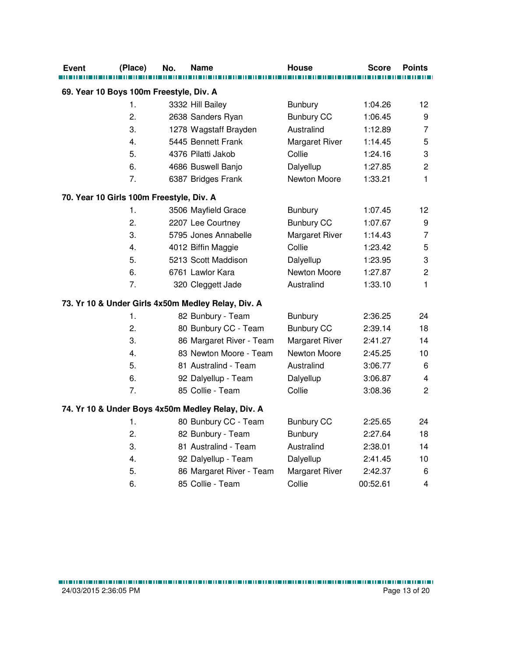| <b>Event</b> | (Place)                                  | No. | Name                                               | <b>House</b>      | Score    | <b>Points</b>             |
|--------------|------------------------------------------|-----|----------------------------------------------------|-------------------|----------|---------------------------|
|              |                                          |     |                                                    |                   |          |                           |
|              | 69. Year 10 Boys 100m Freestyle, Div. A  |     |                                                    |                   |          |                           |
|              | 1.                                       |     | 3332 Hill Bailey                                   | <b>Bunbury</b>    | 1:04.26  | 12                        |
|              | 2.                                       |     | 2638 Sanders Ryan                                  | <b>Bunbury CC</b> | 1:06.45  | 9                         |
|              | 3.                                       |     | 1278 Wagstaff Brayden                              | Australind        | 1:12.89  | $\overline{7}$            |
|              | 4.                                       |     | 5445 Bennett Frank                                 | Margaret River    | 1:14.45  | 5                         |
|              | 5.                                       |     | 4376 Pilatti Jakob                                 | Collie            | 1:24.16  | $\ensuremath{\mathsf{3}}$ |
|              | 6.                                       |     | 4686 Buswell Banjo                                 | Dalyellup         | 1:27.85  | $\overline{c}$            |
|              | 7.                                       |     | 6387 Bridges Frank                                 | Newton Moore      | 1:33.21  | 1                         |
|              | 70. Year 10 Girls 100m Freestyle, Div. A |     |                                                    |                   |          |                           |
|              | 1.                                       |     | 3506 Mayfield Grace                                | Bunbury           | 1:07.45  | 12                        |
|              | 2.                                       |     | 2207 Lee Courtney                                  | <b>Bunbury CC</b> | 1:07.67  | 9                         |
|              | 3.                                       |     | 5795 Jones Annabelle                               | Margaret River    | 1:14.43  | $\overline{7}$            |
|              | 4.                                       |     | 4012 Biffin Maggie                                 | Collie            | 1:23.42  | 5                         |
|              | 5.                                       |     | 5213 Scott Maddison                                | Dalyellup         | 1:23.95  | $\ensuremath{\mathsf{3}}$ |
|              | 6.                                       |     | 6761 Lawlor Kara                                   | Newton Moore      | 1:27.87  | $\overline{2}$            |
|              | 7.                                       |     | 320 Cleggett Jade                                  | Australind        | 1:33.10  | $\mathbf{1}$              |
|              |                                          |     | 73. Yr 10 & Under Girls 4x50m Medley Relay, Div. A |                   |          |                           |
|              | 1.                                       |     | 82 Bunbury - Team                                  | Bunbury           | 2:36.25  | 24                        |
|              | 2.                                       |     | 80 Bunbury CC - Team                               | <b>Bunbury CC</b> | 2:39.14  | 18                        |
|              | 3.                                       |     | 86 Margaret River - Team                           | Margaret River    | 2:41.27  | 14                        |
|              | 4.                                       |     | 83 Newton Moore - Team                             | Newton Moore      | 2:45.25  | 10                        |
|              | 5.                                       |     | 81 Australind - Team                               | Australind        | 3:06.77  | $\,6$                     |
|              | 6.                                       |     | 92 Dalyellup - Team                                | Dalyellup         | 3:06.87  | $\overline{\mathbf{4}}$   |
|              | 7.                                       |     | 85 Collie - Team                                   | Collie            | 3:08.36  | $\overline{2}$            |
|              |                                          |     | 74. Yr 10 & Under Boys 4x50m Medley Relay, Div. A  |                   |          |                           |
|              | 1.                                       |     | 80 Bunbury CC - Team                               | <b>Bunbury CC</b> | 2:25.65  | 24                        |
|              | 2.                                       |     | 82 Bunbury - Team                                  | <b>Bunbury</b>    | 2:27.64  | 18                        |
|              | 3.                                       |     | 81 Australind - Team                               | Australind        | 2:38.01  | 14                        |
|              | 4.                                       |     | 92 Dalyellup - Team                                | Dalyellup         | 2:41.45  | 10                        |
|              | 5.                                       |     | 86 Margaret River - Team                           | Margaret River    | 2:42.37  | $\,6$                     |
|              | 6.                                       |     | 85 Collie - Team                                   | Collie            | 00:52.61 | $\overline{\mathbf{4}}$   |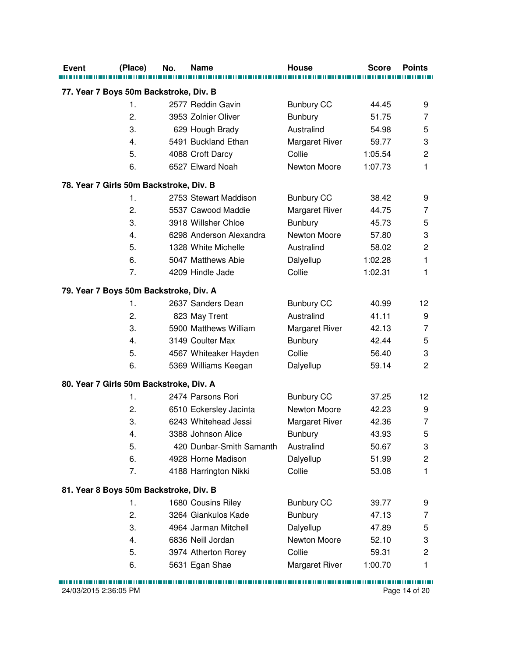| <b>Event</b>                            | (Place)        | No. | <b>Name</b>                            | <b>House</b>                    | <b>Score</b> | <b>Points</b>           |
|-----------------------------------------|----------------|-----|----------------------------------------|---------------------------------|--------------|-------------------------|
| 77. Year 7 Boys 50m Backstroke, Div. B  |                |     |                                        |                                 |              |                         |
|                                         | $\mathbf{1}$ . |     | 2577 Reddin Gavin                      |                                 | 44.45        | 9                       |
|                                         | 2.             |     | 3953 Zolnier Oliver                    | <b>Bunbury CC</b><br>Bunbury    | 51.75        | 7                       |
|                                         | 3.             |     |                                        | Australind                      | 54.98        | 5                       |
|                                         | 4.             |     | 629 Hough Brady<br>5491 Buckland Ethan |                                 | 59.77        | 3                       |
|                                         | 5.             |     |                                        | <b>Margaret River</b><br>Collie | 1:05.54      | $\overline{c}$          |
|                                         | 6.             |     | 4088 Croft Darcy<br>6527 Elward Noah   | Newton Moore                    |              | 1                       |
|                                         |                |     |                                        |                                 | 1:07.73      |                         |
| 78. Year 7 Girls 50m Backstroke, Div. B |                |     |                                        |                                 |              |                         |
|                                         | 1.             |     | 2753 Stewart Maddison                  | <b>Bunbury CC</b>               | 38.42        | 9                       |
|                                         | 2.             |     | 5537 Cawood Maddie                     | Margaret River                  | 44.75        | 7                       |
|                                         | 3.             |     | 3918 Willsher Chloe                    | <b>Bunbury</b>                  | 45.73        | 5                       |
|                                         | 4.             |     | 6298 Anderson Alexandra                | Newton Moore                    | 57.80        | 3                       |
|                                         | 5.             |     | 1328 White Michelle                    | Australind                      | 58.02        | $\mathbf 2$             |
|                                         | 6.             |     | 5047 Matthews Abie                     | Dalyellup                       | 1:02.28      | 1                       |
|                                         | 7.             |     | 4209 Hindle Jade                       | Collie                          | 1:02.31      | 1                       |
| 79. Year 7 Boys 50m Backstroke, Div. A  |                |     |                                        |                                 |              |                         |
|                                         | 1.             |     | 2637 Sanders Dean                      | <b>Bunbury CC</b>               | 40.99        | 12                      |
|                                         | 2.             |     | 823 May Trent                          | Australind                      | 41.11        | 9                       |
|                                         | 3.             |     | 5900 Matthews William                  | Margaret River                  | 42.13        | 7                       |
|                                         | 4.             |     | 3149 Coulter Max                       | <b>Bunbury</b>                  | 42.44        | 5                       |
|                                         | 5.             |     | 4567 Whiteaker Hayden                  | Collie                          | 56.40        | 3                       |
|                                         | 6.             |     | 5369 Williams Keegan                   | Dalyellup                       | 59.14        | $\overline{c}$          |
| 80. Year 7 Girls 50m Backstroke, Div. A |                |     |                                        |                                 |              |                         |
|                                         | 1.             |     | 2474 Parsons Rori                      | <b>Bunbury CC</b>               | 37.25        | 12                      |
|                                         | 2.             |     | 6510 Eckersley Jacinta                 | Newton Moore                    | 42.23        | 9                       |
|                                         | 3.             |     | 6243 Whitehead Jessi                   | <b>Margaret River</b>           | 42.36        | $\overline{7}$          |
|                                         | 4.             |     | 3388 Johnson Alice                     | <b>Bunbury</b>                  | 43.93        | 5                       |
|                                         | 5.             |     | 420 Dunbar-Smith Samanth               | Australind                      | 50.67        | 3                       |
|                                         | 6.             |     | 4928 Horne Madison                     | Dalyellup                       | 51.99        | $\overline{\mathbf{c}}$ |
|                                         | 7.             |     | 4188 Harrington Nikki                  | Collie                          | 53.08        | 1                       |
| 81. Year 8 Boys 50m Backstroke, Div. B  |                |     |                                        |                                 |              |                         |
|                                         | 1.             |     | 1680 Cousins Riley                     | <b>Bunbury CC</b>               | 39.77        | 9                       |
|                                         | 2.             |     | 3264 Giankulos Kade                    | <b>Bunbury</b>                  | 47.13        | 7                       |
|                                         | 3.             |     | 4964 Jarman Mitchell                   | Dalyellup                       | 47.89        | 5                       |
|                                         | 4.             |     | 6836 Neill Jordan                      | Newton Moore                    | 52.10        | 3                       |
|                                         | 5.             |     | 3974 Atherton Rorey                    | Collie                          | 59.31        | $\overline{c}$          |
|                                         | 6.             |     | 5631 Egan Shae                         | <b>Margaret River</b>           | 1:00.70      | 1                       |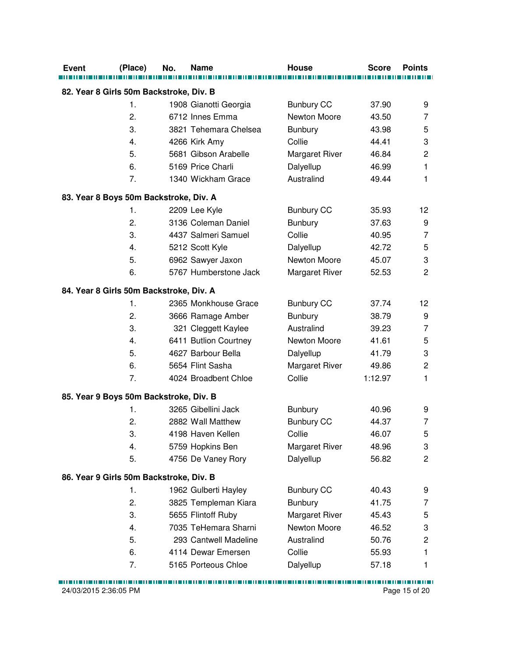| <b>Event</b>                            | (Place) | No. | Name                  | House                 | <b>Score</b> | <b>Points</b>           |
|-----------------------------------------|---------|-----|-----------------------|-----------------------|--------------|-------------------------|
| 82. Year 8 Girls 50m Backstroke, Div. B |         |     |                       |                       |              |                         |
|                                         | 1.      |     | 1908 Gianotti Georgia | <b>Bunbury CC</b>     | 37.90        | 9                       |
|                                         | 2.      |     | 6712 Innes Emma       | Newton Moore          | 43.50        | 7                       |
|                                         | 3.      |     | 3821 Tehemara Chelsea | <b>Bunbury</b>        | 43.98        | 5                       |
|                                         | 4.      |     | 4266 Kirk Amy         | Collie                | 44.41        | 3                       |
|                                         | 5.      |     | 5681 Gibson Arabelle  | Margaret River        | 46.84        | $\overline{c}$          |
|                                         | 6.      |     | 5169 Price Charli     | Dalyellup             | 46.99        | 1                       |
|                                         | 7.      |     | 1340 Wickham Grace    | Australind            | 49.44        | 1                       |
|                                         |         |     |                       |                       |              |                         |
| 83. Year 8 Boys 50m Backstroke, Div. A  |         |     |                       |                       |              |                         |
|                                         | 1.      |     | 2209 Lee Kyle         | <b>Bunbury CC</b>     | 35.93        | 12                      |
|                                         | 2.      |     | 3136 Coleman Daniel   | Bunbury               | 37.63        | 9                       |
|                                         | 3.      |     | 4437 Salmeri Samuel   | Collie                | 40.95        | $\overline{7}$          |
|                                         | 4.      |     | 5212 Scott Kyle       | Dalyellup             | 42.72        | 5                       |
|                                         | 5.      |     | 6962 Sawyer Jaxon     | Newton Moore          | 45.07        | 3                       |
|                                         | 6.      |     | 5767 Humberstone Jack | <b>Margaret River</b> | 52.53        | $\overline{c}$          |
| 84. Year 8 Girls 50m Backstroke, Div. A |         |     |                       |                       |              |                         |
|                                         | 1.      |     | 2365 Monkhouse Grace  | <b>Bunbury CC</b>     | 37.74        | 12                      |
|                                         | 2.      |     | 3666 Ramage Amber     | <b>Bunbury</b>        | 38.79        | 9                       |
|                                         | 3.      |     | 321 Cleggett Kaylee   | Australind            | 39.23        | $\overline{7}$          |
|                                         | 4.      |     | 6411 Butlion Courtney | Newton Moore          | 41.61        | 5                       |
|                                         | 5.      |     | 4627 Barbour Bella    | Dalyellup             | 41.79        | 3                       |
|                                         | 6.      |     | 5654 Flint Sasha      | Margaret River        | 49.86        | $\overline{\mathbf{c}}$ |
|                                         | 7.      |     | 4024 Broadbent Chloe  | Collie                | 1:12.97      | 1                       |
| 85. Year 9 Boys 50m Backstroke, Div. B  |         |     |                       |                       |              |                         |
|                                         | 1.      |     | 3265 Gibellini Jack   | <b>Bunbury</b>        | 40.96        | 9                       |
|                                         | 2.      |     | 2882 Wall Matthew     | <b>Bunbury CC</b>     | 44.37        | $\overline{7}$          |
|                                         | 3.      |     | 4198 Haven Kellen     | Collie                | 46.07        | 5                       |
|                                         | 4.      |     | 5759 Hopkins Ben      | <b>Margaret River</b> | 48.96        | 3                       |
|                                         | 5.      |     | 4756 De Vaney Rory    | Dalyellup             | 56.82        | $\overline{c}$          |
| 86. Year 9 Girls 50m Backstroke, Div. B |         |     |                       |                       |              |                         |
|                                         | 1.      |     | 1962 Gulberti Hayley  | <b>Bunbury CC</b>     | 40.43        | 9                       |
|                                         | 2.      |     | 3825 Templeman Kiara  | <b>Bunbury</b>        | 41.75        | 7                       |
|                                         | 3.      |     | 5655 Flintoff Ruby    | Margaret River        | 45.43        | 5                       |
|                                         | 4.      |     | 7035 TeHemara Sharni  | Newton Moore          | 46.52        | 3                       |
|                                         | 5.      |     | 293 Cantwell Madeline | Australind            | 50.76        | $\overline{c}$          |
|                                         | 6.      |     | 4114 Dewar Emersen    | Collie                | 55.93        | 1                       |
|                                         | 7.      |     | 5165 Porteous Chloe   |                       | 57.18        |                         |
|                                         |         |     |                       | Dalyellup             |              | 1                       |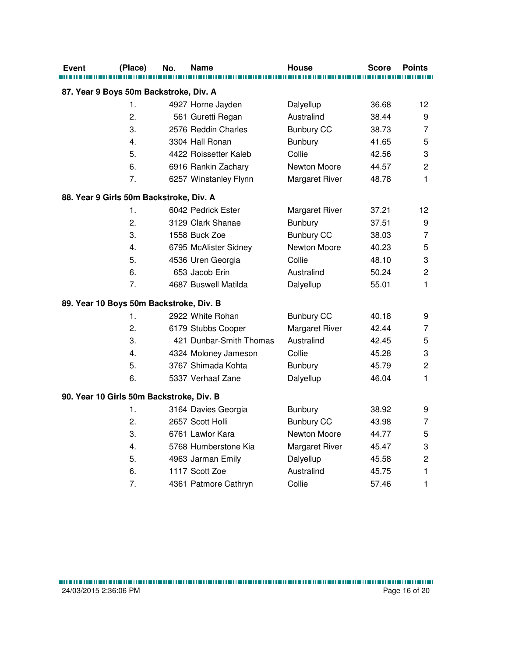| Event | (Place)                                       | No. | Name                                         | House                            | <b>Score</b> | <b>Points</b>             |
|-------|-----------------------------------------------|-----|----------------------------------------------|----------------------------------|--------------|---------------------------|
|       |                                               |     |                                              |                                  |              |                           |
|       | 87. Year 9 Boys 50m Backstroke, Div. A<br>1.  |     | 4927 Horne Jayden                            |                                  | 36.68        | 12                        |
|       | 2.                                            |     | 561 Guretti Regan                            | Dalyellup<br>Australind          | 38.44        | 9                         |
|       | 3.                                            |     | 2576 Reddin Charles                          | <b>Bunbury CC</b>                | 38.73        | $\overline{7}$            |
|       | 4.                                            |     | 3304 Hall Ronan                              | Bunbury                          | 41.65        | 5                         |
|       | 5.                                            |     | 4422 Roissetter Kaleb                        | Collie                           | 42.56        | 3                         |
|       | 6.                                            |     |                                              | Newton Moore                     | 44.57        | $\overline{2}$            |
|       | 7.                                            |     | 6916 Rankin Zachary<br>6257 Winstanley Flynn | Margaret River                   | 48.78        | 1                         |
|       |                                               |     |                                              |                                  |              |                           |
|       | 88. Year 9 Girls 50m Backstroke, Div. A<br>1. |     | 6042 Pedrick Ester                           |                                  | 37.21        | 12                        |
|       | 2.                                            |     | 3129 Clark Shanae                            | Margaret River<br><b>Bunbury</b> | 37.51        | 9                         |
|       | 3.                                            |     | 1558 Buck Zoe                                | <b>Bunbury CC</b>                | 38.03        | $\overline{7}$            |
|       | 4.                                            |     | 6795 McAlister Sidney                        | Newton Moore                     | 40.23        | 5                         |
|       | 5.                                            |     | 4536 Uren Georgia                            | Collie                           | 48.10        | 3                         |
|       | 6.                                            |     | 653 Jacob Erin                               | Australind                       | 50.24        | $\overline{c}$            |
|       | 7.                                            |     | 4687 Buswell Matilda                         |                                  | 55.01        | 1                         |
|       |                                               |     |                                              | Dalyellup                        |              |                           |
|       | 89. Year 10 Boys 50m Backstroke, Div. B       |     |                                              |                                  |              |                           |
|       | 1.                                            |     | 2922 White Rohan                             | <b>Bunbury CC</b>                | 40.18        | 9                         |
|       | 2.                                            |     | 6179 Stubbs Cooper                           | Margaret River                   | 42.44        | 7                         |
|       | 3.                                            |     | 421 Dunbar-Smith Thomas                      | Australind                       | 42.45        | 5                         |
|       | 4.                                            |     | 4324 Moloney Jameson                         | Collie                           | 45.28        | 3                         |
|       | 5.                                            |     | 3767 Shimada Kohta                           | Bunbury                          | 45.79        | $\overline{c}$            |
|       | 6.                                            |     | 5337 Verhaaf Zane                            | Dalyellup                        | 46.04        | 1                         |
|       | 90. Year 10 Girls 50m Backstroke, Div. B      |     |                                              |                                  |              |                           |
|       | 1.                                            |     | 3164 Davies Georgia                          | <b>Bunbury</b>                   | 38.92        | 9                         |
|       | 2.                                            |     | 2657 Scott Holli                             | <b>Bunbury CC</b>                | 43.98        | $\overline{7}$            |
|       | 3.                                            |     | 6761 Lawlor Kara                             | Newton Moore                     | 44.77        | 5                         |
|       | 4.                                            |     | 5768 Humberstone Kia                         | Margaret River                   | 45.47        | $\ensuremath{\mathsf{3}}$ |
|       | 5.                                            |     | 4963 Jarman Emily                            | Dalyellup                        | 45.58        | $\overline{c}$            |
|       | 6.                                            |     | 1117 Scott Zoe                               | Australind                       | 45.75        | 1                         |
|       | 7.                                            |     | 4361 Patmore Cathryn                         | Collie                           | 57.46        | 1                         |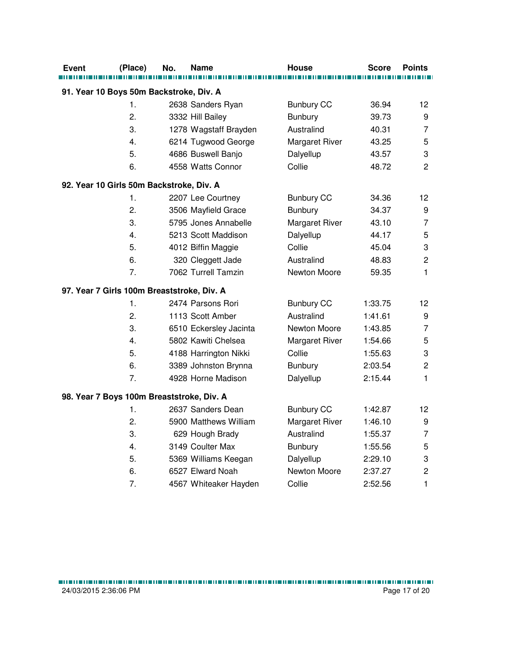| Event | (Place)                                    | No. | Name                   | House                 | <b>Score</b> | <b>Points</b>  |
|-------|--------------------------------------------|-----|------------------------|-----------------------|--------------|----------------|
|       | 91. Year 10 Boys 50m Backstroke, Div. A    |     |                        |                       |              |                |
|       | 1.                                         |     | 2638 Sanders Ryan      | <b>Bunbury CC</b>     | 36.94        | 12             |
|       | 2.                                         |     | 3332 Hill Bailey       | <b>Bunbury</b>        | 39.73        | 9              |
|       | 3.                                         |     | 1278 Wagstaff Brayden  | Australind            | 40.31        | $\overline{7}$ |
|       | 4.                                         |     | 6214 Tugwood George    | Margaret River        | 43.25        | 5              |
|       | 5.                                         |     | 4686 Buswell Banjo     | Dalyellup             | 43.57        | 3              |
|       | 6.                                         |     | 4558 Watts Connor      | Collie                | 48.72        | $\overline{2}$ |
|       | 92. Year 10 Girls 50m Backstroke, Div. A   |     |                        |                       |              |                |
|       | 1.                                         |     | 2207 Lee Courtney      | <b>Bunbury CC</b>     | 34.36        | 12             |
|       | 2.                                         |     | 3506 Mayfield Grace    | Bunbury               | 34.37        | 9              |
|       | 3.                                         |     | 5795 Jones Annabelle   | Margaret River        | 43.10        | $\overline{7}$ |
|       | 4.                                         |     | 5213 Scott Maddison    | Dalyellup             | 44.17        | 5              |
|       | 5.                                         |     | 4012 Biffin Maggie     | Collie                | 45.04        | 3              |
|       | 6.                                         |     | 320 Cleggett Jade      | Australind            | 48.83        | $\overline{c}$ |
|       | 7.                                         |     | 7062 Turrell Tamzin    | Newton Moore          | 59.35        | $\mathbf{1}$   |
|       | 97. Year 7 Girls 100m Breaststroke, Div. A |     |                        |                       |              |                |
|       | 1.                                         |     | 2474 Parsons Rori      | <b>Bunbury CC</b>     | 1:33.75      | 12             |
|       | 2.                                         |     | 1113 Scott Amber       | Australind            | 1:41.61      | 9              |
|       | 3.                                         |     | 6510 Eckersley Jacinta | Newton Moore          | 1:43.85      | 7              |
|       | 4.                                         |     | 5802 Kawiti Chelsea    | <b>Margaret River</b> | 1:54.66      | 5              |
|       | 5.                                         |     | 4188 Harrington Nikki  | Collie                | 1:55.63      | 3              |
|       | 6.                                         |     | 3389 Johnston Brynna   | <b>Bunbury</b>        | 2:03.54      | $\overline{c}$ |
|       | 7.                                         |     | 4928 Horne Madison     | Dalyellup             | 2:15.44      | 1              |
|       | 98. Year 7 Boys 100m Breaststroke, Div. A  |     |                        |                       |              |                |
|       | 1.                                         |     | 2637 Sanders Dean      | <b>Bunbury CC</b>     | 1:42.87      | 12             |
|       | 2.                                         |     | 5900 Matthews William  | Margaret River        | 1:46.10      | 9              |
|       | 3.                                         |     | 629 Hough Brady        | Australind            | 1:55.37      | $\overline{7}$ |
|       | 4.                                         |     | 3149 Coulter Max       | Bunbury               | 1:55.56      | 5              |
|       | 5.                                         |     | 5369 Williams Keegan   | Dalyellup             | 2:29.10      | 3              |
|       | 6.                                         |     | 6527 Elward Noah       | Newton Moore          | 2:37.27      | $\overline{c}$ |
|       | 7.                                         |     | 4567 Whiteaker Hayden  | Collie                | 2:52.56      | $\mathbf{1}$   |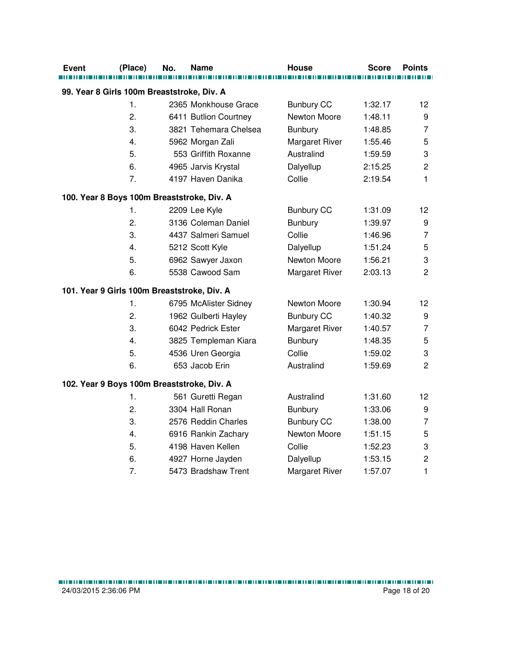| Event                                       | (Place) | No. | Name                  | House                 | <b>Score</b> | <b>Points</b>    |
|---------------------------------------------|---------|-----|-----------------------|-----------------------|--------------|------------------|
|                                             |         |     |                       |                       |              |                  |
| 99. Year 8 Girls 100m Breaststroke, Div. A  |         |     |                       |                       |              |                  |
|                                             | 1.      |     | 2365 Monkhouse Grace  | <b>Bunbury CC</b>     | 1:32.17      | 12               |
|                                             | 2.      |     | 6411 Butlion Courtney | Newton Moore          | 1:48.11      | 9                |
|                                             | 3.      |     | 3821 Tehemara Chelsea | <b>Bunbury</b>        | 1:48.85      | $\overline{7}$   |
|                                             | 4.      |     | 5962 Morgan Zali      | <b>Margaret River</b> | 1:55.46      | 5                |
|                                             | 5.      |     | 553 Griffith Roxanne  | Australind            | 1:59.59      | 3                |
|                                             | 6.      |     | 4965 Jarvis Krystal   | Dalyellup             | 2:15.25      | $\overline{2}$   |
|                                             | 7.      |     | 4197 Haven Danika     | Collie                | 2:19.54      | $\mathbf{1}$     |
| 100. Year 8 Boys 100m Breaststroke, Div. A  |         |     |                       |                       |              |                  |
|                                             | 1.      |     | 2209 Lee Kyle         | <b>Bunbury CC</b>     | 1:31.09      | 12               |
|                                             | 2.      |     | 3136 Coleman Daniel   | <b>Bunbury</b>        | 1:39.97      | $\boldsymbol{9}$ |
|                                             | 3.      |     | 4437 Salmeri Samuel   | Collie                | 1:46.96      | $\overline{7}$   |
|                                             | 4.      |     | 5212 Scott Kyle       | Dalyellup             | 1:51.24      | 5                |
|                                             | 5.      |     | 6962 Sawyer Jaxon     | Newton Moore          | 1:56.21      | 3                |
|                                             | 6.      |     | 5538 Cawood Sam       | Margaret River        | 2:03.13      | $\overline{2}$   |
| 101. Year 9 Girls 100m Breaststroke, Div. A |         |     |                       |                       |              |                  |
|                                             | 1.      |     | 6795 McAlister Sidney | Newton Moore          | 1:30.94      | 12               |
|                                             | 2.      |     | 1962 Gulberti Hayley  | <b>Bunbury CC</b>     | 1:40.32      | 9                |
|                                             | 3.      |     | 6042 Pedrick Ester    | Margaret River        | 1:40.57      | $\overline{7}$   |
|                                             | 4.      |     | 3825 Templeman Kiara  | <b>Bunbury</b>        | 1:48.35      | 5                |
|                                             | 5.      |     | 4536 Uren Georgia     | Collie                | 1:59.02      | 3                |
|                                             | 6.      |     | 653 Jacob Erin        | Australind            | 1:59.69      | $\overline{2}$   |
| 102. Year 9 Boys 100m Breaststroke, Div. A  |         |     |                       |                       |              |                  |
|                                             | 1.      |     | 561 Guretti Regan     | Australind            | 1:31.60      | 12               |
|                                             | 2.      |     | 3304 Hall Ronan       | <b>Bunbury</b>        | 1:33.06      | 9                |
|                                             | 3.      |     | 2576 Reddin Charles   | <b>Bunbury CC</b>     | 1:38.00      | $\overline{7}$   |
|                                             | 4.      |     | 6916 Rankin Zachary   | Newton Moore          | 1:51.15      | 5                |
|                                             | 5.      |     | 4198 Haven Kellen     | Collie                | 1:52.23      | 3                |
|                                             | 6.      |     | 4927 Horne Jayden     | Dalyellup             | 1:53.15      | $\overline{c}$   |
|                                             | 7.      |     | 5473 Bradshaw Trent   | <b>Margaret River</b> | 1:57.07      | $\mathbf{1}$     |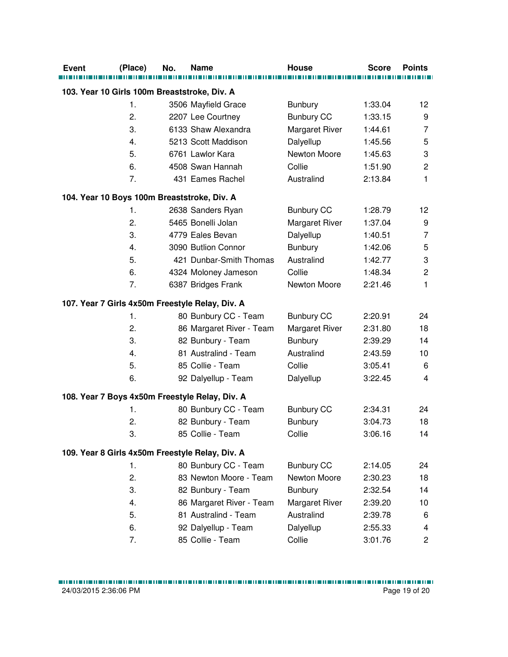| <b>Event</b> | (Place)                                      | No. | <b>Name</b>                                     | <b>House</b>      | <b>Score</b> | <b>Points</b>           |
|--------------|----------------------------------------------|-----|-------------------------------------------------|-------------------|--------------|-------------------------|
|              | 103. Year 10 Girls 100m Breaststroke, Div. A |     |                                                 |                   |              |                         |
|              | 1.                                           |     | 3506 Mayfield Grace                             | <b>Bunbury</b>    | 1:33.04      | 12                      |
|              | 2.                                           |     | 2207 Lee Courtney                               | <b>Bunbury CC</b> | 1:33.15      | 9                       |
|              | 3.                                           |     | 6133 Shaw Alexandra                             | Margaret River    | 1:44.61      | $\overline{7}$          |
|              | 4.                                           |     | 5213 Scott Maddison                             | Dalyellup         | 1:45.56      | 5                       |
|              | 5.                                           |     | 6761 Lawlor Kara                                | Newton Moore      | 1:45.63      | 3                       |
|              | 6.                                           |     | 4508 Swan Hannah                                | Collie            | 1:51.90      | $\overline{\mathbf{c}}$ |
|              | 7.                                           |     | 431 Eames Rachel                                | Australind        | 2:13.84      | 1                       |
|              |                                              |     | 104. Year 10 Boys 100m Breaststroke, Div. A     |                   |              |                         |
|              | 1.                                           |     | 2638 Sanders Ryan                               | <b>Bunbury CC</b> | 1:28.79      | 12                      |
|              | 2.                                           |     | 5465 Bonelli Jolan                              | Margaret River    | 1:37.04      | 9                       |
|              | 3.                                           |     | 4779 Eales Bevan                                | Dalyellup         | 1:40.51      | $\overline{7}$          |
|              | 4.                                           |     | 3090 Butlion Connor                             | <b>Bunbury</b>    | 1:42.06      | 5                       |
|              | 5.                                           |     | 421 Dunbar-Smith Thomas                         | Australind        | 1:42.77      | 3                       |
|              | 6.                                           |     | 4324 Moloney Jameson                            | Collie            | 1:48.34      | $\overline{c}$          |
|              | 7.                                           |     | 6387 Bridges Frank                              | Newton Moore      | 2:21.46      | 1                       |
|              |                                              |     | 107. Year 7 Girls 4x50m Freestyle Relay, Div. A |                   |              |                         |
|              | 1.                                           |     | 80 Bunbury CC - Team                            | <b>Bunbury CC</b> | 2:20.91      | 24                      |
|              | 2.                                           |     | 86 Margaret River - Team                        | Margaret River    | 2:31.80      | 18                      |
|              | 3.                                           |     | 82 Bunbury - Team                               | <b>Bunbury</b>    | 2:39.29      | 14                      |
|              | 4.                                           |     | 81 Australind - Team                            | Australind        | 2:43.59      | 10                      |
|              | 5.                                           |     | 85 Collie - Team                                | Collie            | 3:05.41      | 6                       |
|              | 6.                                           |     | 92 Dalyellup - Team                             | Dalyellup         | 3:22.45      | 4                       |
|              |                                              |     | 108. Year 7 Boys 4x50m Freestyle Relay, Div. A  |                   |              |                         |
|              | 1.                                           |     | 80 Bunbury CC - Team                            | <b>Bunbury CC</b> | 2:34.31      | 24                      |
|              | 2.                                           |     | 82 Bunbury - Team                               | <b>Bunbury</b>    | 3:04.73      | 18                      |
|              | 3.                                           |     | 85 Collie - Team                                | Collie            | 3:06.16      | 14                      |
|              |                                              |     | 109. Year 8 Girls 4x50m Freestyle Relay, Div. A |                   |              |                         |
|              | 1.                                           |     | 80 Bunbury CC - Team                            | <b>Bunbury CC</b> | 2:14.05      | 24                      |
|              | 2.                                           |     | 83 Newton Moore - Team                          | Newton Moore      | 2:30.23      | 18                      |
|              | 3.                                           |     | 82 Bunbury - Team                               | <b>Bunbury</b>    | 2:32.54      | 14                      |
|              | 4.                                           |     | 86 Margaret River - Team                        | Margaret River    | 2:39.20      | 10                      |
|              | 5.                                           |     | 81 Australind - Team                            | Australind        | 2:39.78      | 6                       |
|              | 6.                                           |     | 92 Dalyellup - Team                             | Dalyellup         | 2:55.33      | 4                       |
|              | 7.                                           |     | 85 Collie - Team                                | Collie            | 3:01.76      | $\overline{2}$          |